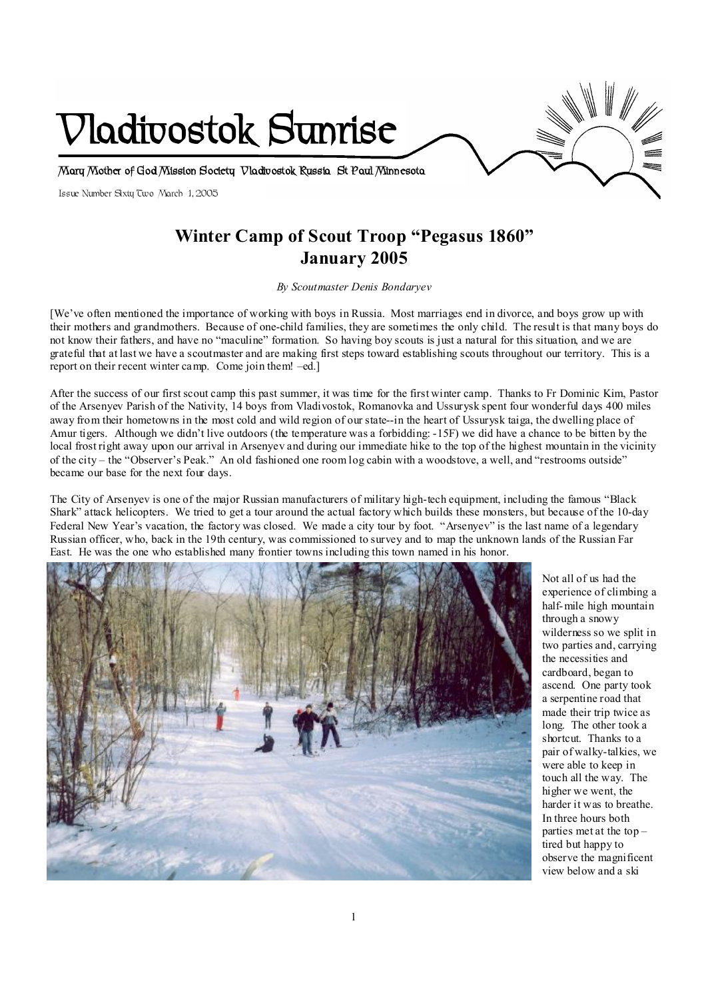

# **Winter Camp of Scout Troop "Pegasus 1860" January 2005**

*By Scoutmaster Denis Bondaryev* 

[We've often mentioned the importance of working with boys in Russia. Most marriages end in divorce, and boys grow up with their mothers and grandmothers. Because of one-child families, they are sometimes the only child. The result is that many boys do not know their fathers, and have no "maculine" formation. So having boy scouts is just a natural for this situation, and we are grateful that at last we have a scoutmaster and are making first steps toward establishing scouts throughout our territory. This is a report on their recent winter camp. Come join them! –ed.]

After the success of our first scout camp this past summer, it was time for the first winter camp. Thanks to Fr Dominic Kim, Pastor of the Arsenyev Parish of the Nativity, 14 boys from Vladivostok, Romanovka and Ussurysk spent four wonderful days 400 miles away from their hometowns in the most cold and wild region of our state--in the heart of Ussurysk taiga, the dwelling place of Amur tigers. Although we didn't live outdoors (the temperature was a forbidding: -15F) we did have a chance to be bitten by the local frost right away upon our arrival in Arsenyev and during our immediate hike to the top of the highest mountain in the vicinity of the city – the "Observer's Peak." An old fashioned one room log cabin with a woodstove, a well, and "restrooms outside" became our base for the next four days.

The City of Arsenyev is one of the major Russian manufacturers of military high-tech equipment, including the famous "Black Shark" attack helicopters. We tried to get a tour around the actual factory which builds these monsters, but because of the 10-day Federal New Year's vacation, the factory was closed. We made a city tour by foot. "Arsenyev" is the last name of a legendary Russian officer, who, back in the 19th century, was commissioned to survey and to map the unknown lands of the Russian Far East. He was the one who established many frontier towns including this town named in his honor.



Not all of us had the experience of climbing a half-mile high mountain through a snowy wilderness so we split in two parties and, carrying the necessities and cardboard, began to ascend. One party took a serpentine road that made their trip twice as long. The other took a shortcut. Thanks to a pair of walky-talkies, we were able to keep in touch all the way. The higher we went, the harder it was to breathe. In three hours both parties met at the top – tired but happy to observe the magnificent view below and a ski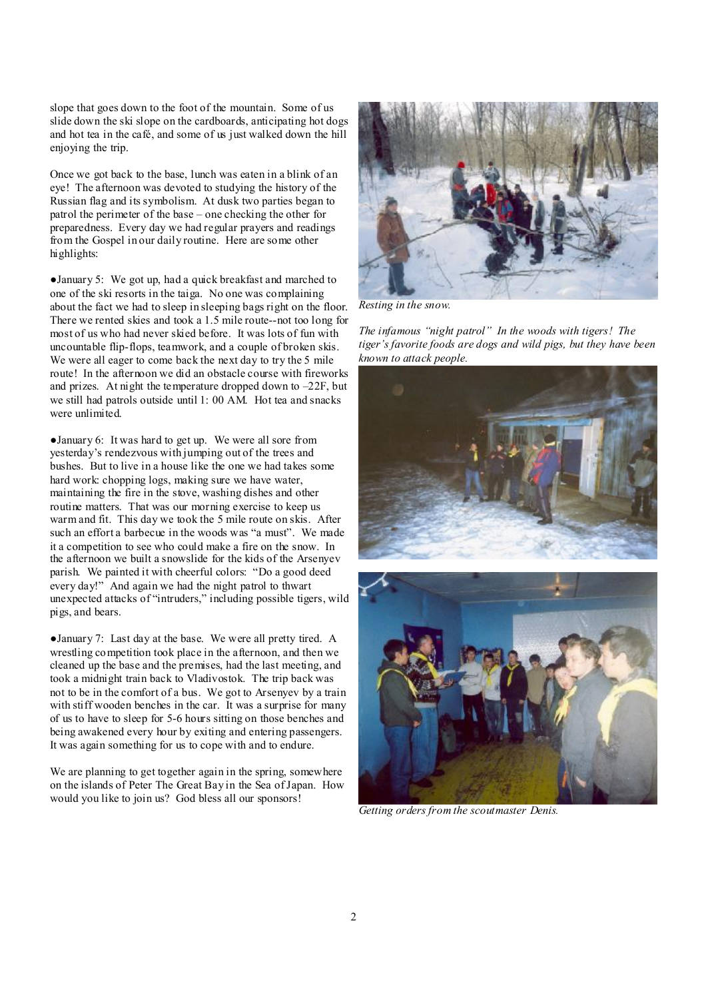slope that goes down to the foot of the mountain. Some of us slide down the ski slope on the cardboards, anticipating hot dogs and hot tea in the café, and some of us just walked down the hill enjoying the trip.

Once we got back to the base, lunch was eaten in a blink of an eye! The afternoon was devoted to studying the history of the Russian flag and its symbolism. At dusk two parties began to patrol the perimeter of the base – one checking the other for preparedness. Every day we had regular prayers and readings from the Gospel in our daily routine. Here are some other highlights:

●January 5: We got up, had a quick breakfast and marched to one of the ski resorts in the taiga. No one was complaining about the fact we had to sleep in sleeping bags right on the floor. There we rented skies and took a 1.5 mile route--not too long for most of us who had never skied before. It was lots of fun with uncountable flip-flops, teamwork, and a couple of broken skis. We were all eager to come back the next day to try the 5 mile route! In the afternoon we did an obstacle course with fireworks and prizes. At night the temperature dropped down to  $-22F$ , but we still had patrols outside until 1: 00 AM. Hot tea and snacks were unlimited.

●January 6: It was hard to get up. We were all sore from yesterday's rendezvous with jumping out of the trees and bushes. But to live in a house like the one we had takes some hard work: chopping logs, making sure we have water, maintaining the fire in the stove, washing dishes and other routine matters. That was our morning exercise to keep us warm and fit. This day we took the 5 mile route on skis. After such an effort a barbecue in the woods was "a must". We made it a competition to see who could make a fire on the snow. In the afternoon we built a snowslide for the kids of the Arsenyev parish. We painted it with cheerful colors: "Do a good deed every day!" And again we had the night patrol to thwart unexpected attacks of "intruders," including possible tigers, wild pigs, and bears.

●January 7: Last day at the base. We were all pretty tired. A wrestling competition took place in the afternoon, and then we cleaned up the base and the premises, had the last meeting, and took a midnight train back to Vladivostok. The trip back was not to be in the comfort of a bus. We got to Arsenyev by a train with stiff wooden benches in the car. It was a surprise for many of us to have to sleep for 5-6 hours sitting on those benches and being awakened every hour by exiting and entering passengers. It was again something for us to cope with and to endure.

We are planning to get together again in the spring, somewhere on the islands of Peter The Great Bay in the Sea ofJapan. How would you like to join us? God bless all our sponsors!



*Resting in the snow.* 

*The infamous "night patrol" In the woods with tigers! The tiger's favorite foods are dogs and wild pigs, but they have been known to attack people.* 



*Getting orders from the scoutmaster Denis.*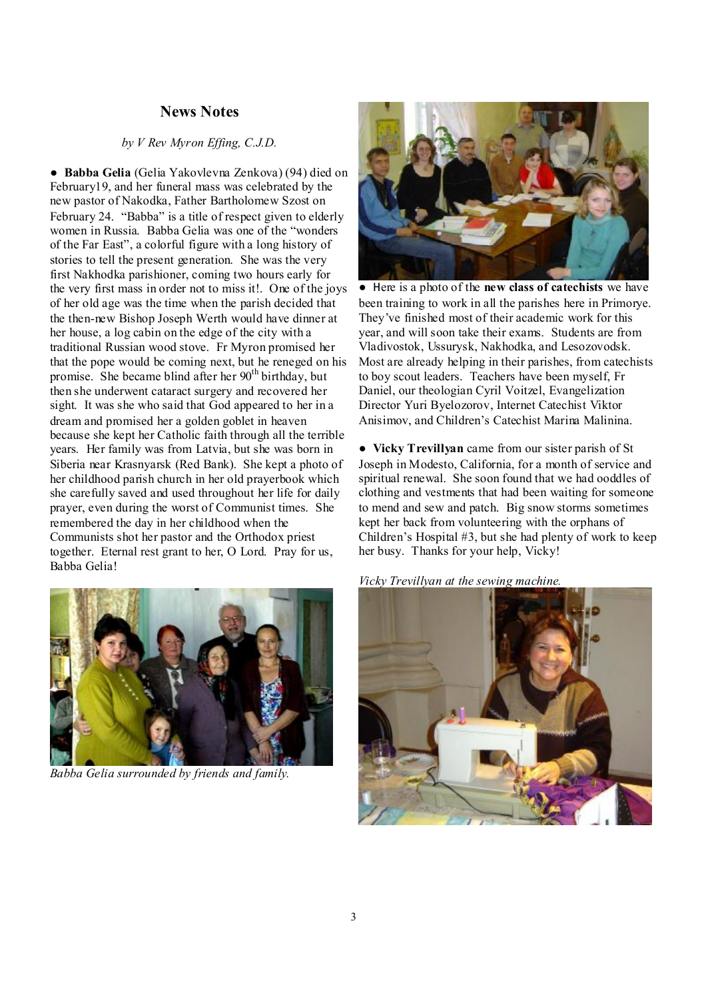## **News Notes**

## *by V Rev Myron Effing, C.J.D.*

● **Babba Gelia** (Gelia Yakovlevna Zenkova) (94) died on February19, and her funeral mass was celebrated by the new pastor of Nakodka, Father Bartholomew Szost on February 24. "Babba" is a title of respect given to elderly women in Russia. Babba Gelia was one of the "wonders of the Far East", a colorful figure with a long history of stories to tell the present generation. She was the very first Nakhodka parishioner, coming two hours early for the very first mass in order not to miss it!. One of the joys of her old age was the time when the parish decided that the then-new Bishop Joseph Werth would have dinner at her house, a log cabin on the edge of the city with a traditional Russian wood stove. Fr Myron promised her that the pope would be coming next, but he reneged on his promise. She became blind after her 90<sup>th</sup> birthday, but then she underwent cataract surgery and recovered her sight. It was she who said that God appeared to her in a dream and promised her a golden goblet in heaven because she kept her Catholic faith through all the terrible years. Her family was from Latvia, but she was born in Siberia near Krasnyarsk (Red Bank). She kept a photo of her childhood parish church in her old prayerbook which she carefully saved and used throughout her life for daily prayer, even during the worst of Communist times. She remembered the day in her childhood when the Communists shot her pastor and the Orthodox priest together. Eternal rest grant to her, O Lord. Pray for us, Babba Gelia!



*Babba Gelia surrounded by friends and family.* 



● Here is a photo of the **new class of catechists** we have been training to work in all the parishes here in Primorye. They've finished most of their academic work for this year, and will soon take their exams. Students are from Vladivostok, Ussurysk, Nakhodka, and Lesozovodsk. Most are already helping in their parishes, from catechists to boy scout leaders. Teachers have been myself, Fr Daniel, our theologian Cyril Voitzel, Evangelization Director Yuri Byelozorov, Internet Catechist Viktor Anisimov, and Children's Catechist Marina Malinina.

● **Vicky Trevillyan** came from our sister parish of St Joseph in Modesto, California, for a month of service and spiritual renewal. She soon found that we had ooddles of clothing and vestments that had been waiting for someone to mend and sew and patch. Big snow storms sometimes kept her back from volunteering with the orphans of Children's Hospital #3, but she had plenty of work to keep her busy. Thanks for your help, Vicky!



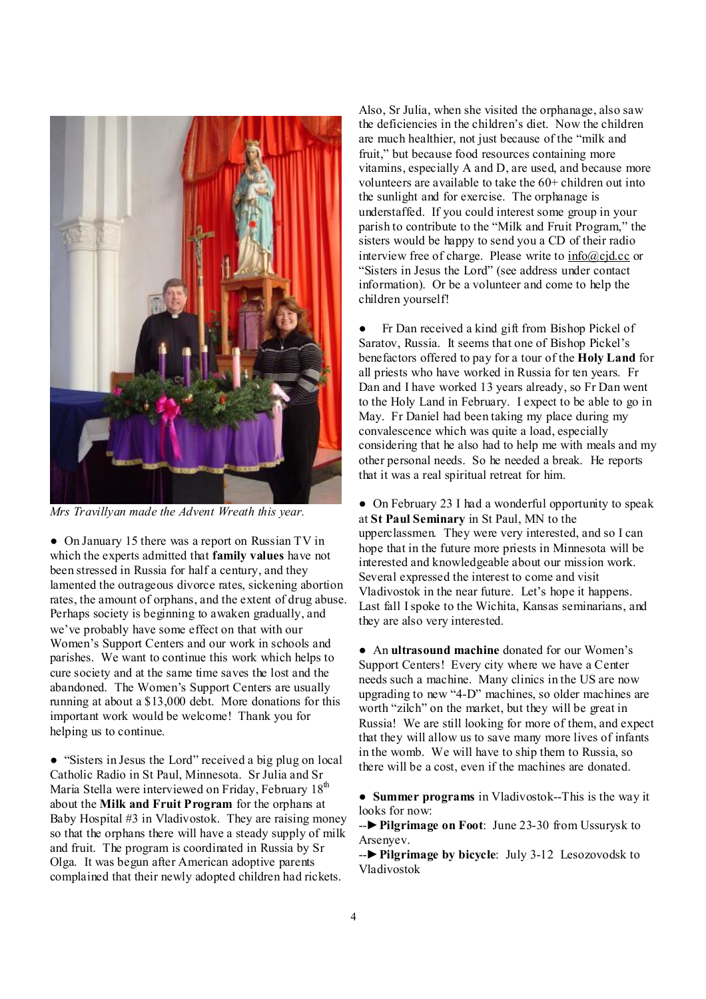

*Mrs Travillyan made the Advent Wreath this year.* 

• On January 15 there was a report on Russian TV in which the experts admitted that **family values** have not been stressed in Russia for half a century, and they lamented the outrageous divorce rates, sickening abortion rates, the amount of orphans, and the extent of drug abuse. Perhaps society is beginning to awaken gradually, and we've probably have some effect on that with our Women's Support Centers and our work in schools and parishes. We want to continue this work which helps to cure society and at the same time saves the lost and the abandoned. The Women's Support Centers are usually running at about a \$13,000 debt. More donations for this important work would be welcome! Thank you for helping us to continue.

● "Sisters in Jesus the Lord" received a big plug on local Catholic Radio in St Paul, Minnesota. Sr Julia and Sr Maria Stella were interviewed on Friday, February 18<sup>th</sup> about the **Milk and Fruit Program** for the orphans at Baby Hospital #3 in Vladivostok. They are raising money so that the orphans there will have a steady supply of milk and fruit. The program is coordinated in Russia by Sr Olga. It was begun after American adoptive parents complained that their newly adopted children had rickets.

Also, Sr Julia, when she visited the orphanage, also saw the deficiencies in the children's diet. Now the children are much healthier, not just because of the "milk and fruit," but because food resources containing more vitamins, especially A and D, are used, and because more volunteers are available to take the 60+ children out into the sunlight and for exercise. The orphanage is understaffed. If you could interest some group in your parish to contribute to the "Milk and Fruit Program," the sisters would be happy to send you a CD of their radio interview free of charge. Please write to [info@cjd.cc](mailto:info@cjd.cc) or "Sisters in Jesus the Lord" (see address under contact information). Or be a volunteer and come to help the children yourself!

• Fr Dan received a kind gift from Bishop Pickel of Saratov, Russia. It seems that one of Bishop Pickel's benefactors offered to pay for a tour of the **Holy Land** for all priests who have worked in Russia for ten years. Fr Dan and I have worked 13 years already, so Fr Dan went to the Holy Land in February. I expect to be able to go in May. Fr Daniel had been taking my place during my convalescence which was quite a load, especially considering that he also had to help me with meals and my other personal needs. So he needed a break. He reports that it was a real spiritual retreat for him.

• On February 23 I had a wonderful opportunity to speak at **St Paul Seminary** in St Paul, MN to the upperclassmen. They were very interested, and so I can hope that in the future more priests in Minnesota will be interested and knowledgeable about our mission work. Several expressed the interest to come and visit Vladivostok in the near future. Let's hope it happens. Last fall Ispoke to the Wichita, Kansas seminarians, and they are also very interested.

● An **ultrasound machine** donated for our Women's Support Centers! Every city where we have a Center needs such a machine. Many clinics in the US are now upgrading to new "4-D" machines, so older machines are worth "zilch" on the market, but they will be great in Russia! We are still looking for more of them, and expect that they will allow us to save many more lives of infants in the womb. We will have to ship them to Russia, so there will be a cost, even if the machines are donated.

● **Summer programs** in Vladivostok--This is the way it looks for now:

--►**Pilgrimage on Foot**: June 23-30 from Ussurysk to Arsenyev.

--►**Pilgrimage by bicycle**: July 3-12 Lesozovodsk to Vladivostok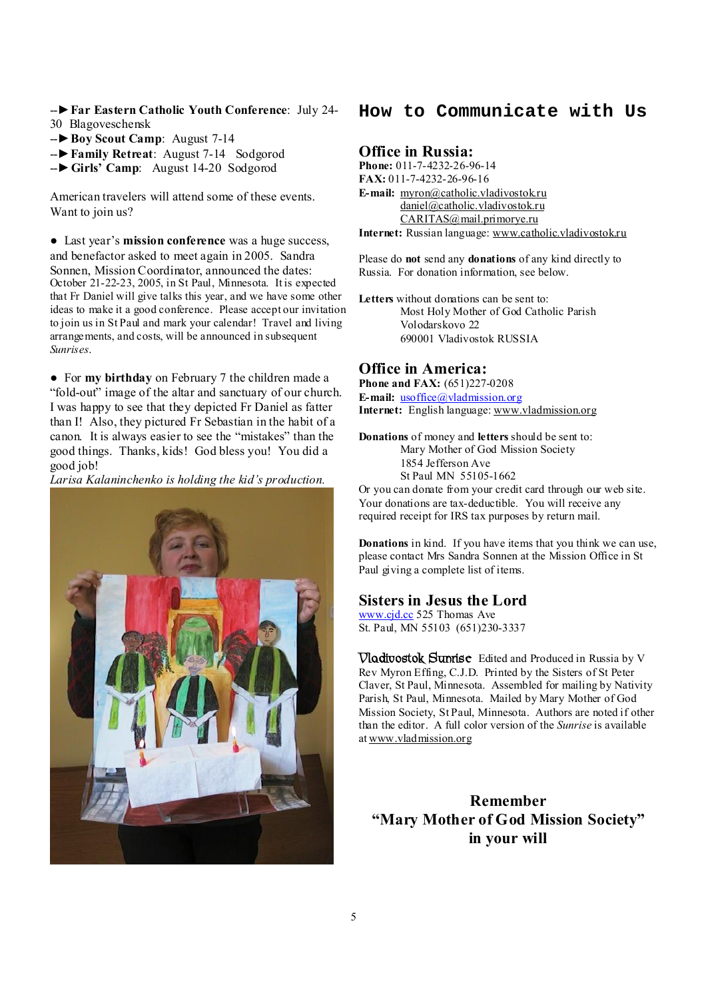- --►**Far Eastern Catholic Youth Conference**: July 24- 30 Blagoveschensk
- --►**Boy Scout Camp**: August 7-14
- --►**Family Retreat**: August 7-14 Sodgorod
- --►**Girls' Camp**: August 14-20 Sodgorod

American travelers will attend some of these events. Want to join us?

● Last year's **mission conference** was a huge success, and benefactor asked to meet again in 2005. Sandra Sonnen, Mission Coordinator, announced the dates: October 21-22-23, 2005, in St Paul, Minnesota. It is expected that Fr Daniel will give talks this year, and we have some other ideas to make it a good conference. Please accept our invitation to join us in St Paul and mark your calendar! Travel and living arrangements, and costs, will be announced in subsequent *Sunrises*.

● For **my birthday** on February 7 the children made a "fold-out" image of the altar and sanctuary of our church. I was happy to see that they depicted Fr Daniel as fatter than I! Also, they pictured Fr Sebastian in the habit of a canon. It is always easier to see the "mistakes" than the good things. Thanks, kids! God bless you! You did a good job!

*Larisa Kalaninchenko is holding the kid's production.*



## **How to Communicate with Us**

## **Office in Russia:**

**Phone:** 011-7-4232-26-96-14 **FAX:** 011-7-4232-26-96-16 **E-mail:** [myron@catholic.vladivostok.ru](mailto:myron@catholic.vladivostok.ru) [daniel@catholic.vladivostok.ru](mailto:daniel@catholic.vladivostok.ru) [CARITAS@mail.primorye.ru](mailto:CARITAS@mail.primorye.ru) **Internet:** Russian language: [www.catholic.vladivostok.ru](http://www.catholic.vladivostok.ru)

Please do **not** send any **donations** of any kind directly to Russia. For donation information, see below.

**Letters** without donations can be sent to: Most Holy Mother of God Catholic Parish Volodarskovo 22 690001 Vladivostok RUSSIA

### **Office in America:**

**Phone and FAX:** (651)227-0208 **E-mail:** [usoffice@vladmission.org](mailto:usoffice@vladmission.org) **Internet:** English language: [www.vladmission.org](http://www.vladmission.org)

**Donations** of money and **letters** should be sent to: Mary Mother of God Mission Society 1854 Jefferson Ave St Paul MN 55105-1662

Or you can donate from your credit card through our web site. Your donations are tax-deductible. You will receive any required receipt for IRS tax purposes by return mail.

**Donations** in kind. If you have items that you think we can use, please contact Mrs Sandra Sonnen at the Mission Office in St Paul giving a complete list of items.

#### **Sisters in Jesus the Lord**

[www.cjd.cc](http://www.cjd.cc) 525 Thomas Ave St. Paul, MN 55103 (651)230-3337

**Vladivostok Sunrise** Edited and Produced in Russia by V Rev Myron Effing, C.J.D. Printed by the Sisters of St Peter Claver, St Paul, Minnesota. Assembled for mailing by Nativity Parish, St Paul, Minnesota. Mailed by Mary Mother of God Mission Society, St Paul, Minnesota. Authors are noted if other than the editor. A full color version of the *Sunrise* is available at [www.vladmission.org](http://www.vladmission.org)

**Remember "Mary Mother of God Mission Society" in your will**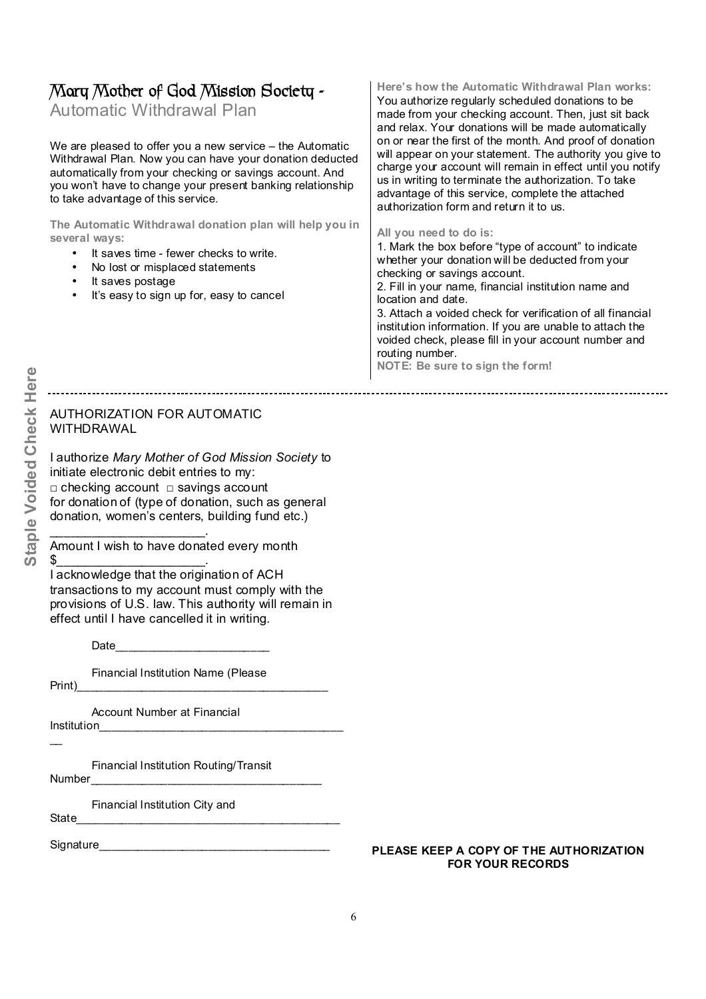# **Mary Mother of God Mission Society -**

Automatic WithdrawalPlan

We are pleased to offer you a new service – the Automatic Withdrawal Plan. Now you can have your donation deducted automatically from your checking or savings account. And you won't have to change your present banking relationship to take advantage of this service.

**The Automatic Withdrawal donation plan will help you in several ways:** 

- It saves time fewer checks to write.
- No lost or misplaced statements
- It saves postage
- It's easy to sign up for, easy to cancel

## **Here's how the Automatic Withdrawal Plan works:**

You authorize regularly scheduled donations to be made from your checking account. Then, just sit back and relax. Your donations will be made automatically on or near the first of the month. And proof of donation will appear on your statement. The authority you give to charge your account will remain in effect until you notify us in writing to terminate the authorization. To take advantage of this service, complete the attached authorization form and return it to us.

#### **All you need to do is:**

1. Mark the box before "type of account" to indicate whether your donation will be deducted from your checking or savings account.

2. Fill in your name, financial institution name and location and date.

3. Attach a voided check for verification of all financial institution information. If you are unable to attach the voided check, please fill in your account number and routing number.

**NOTE: Be sure to sign the form!**

## AUTHORIZATION FOR AUTOMATIC WITHDRAWAL

I authorize *Mary Mother of God Mission Society* to initiate electronic debit entries to my: □ checking account □ savings account for donation of (type of donation, such as general donation, women's centers, building fund etc.)

Amount I wish to have donated every month

 $\frac{1}{2}$ I acknowledge that the origination of ACH transactions to my account must comply with the provisions of U.S. law. This authority will remain in effect until I have cancelled it in writing.

Date\_\_\_\_\_\_\_\_\_\_\_\_\_\_\_\_\_\_\_\_\_\_\_\_

 $\overline{\phantom{a}}$  , and the set of the set of the set of the set of the set of the set of the set of the set of the set of the set of the set of the set of the set of the set of the set of the set of the set of the set of the s

Financial Institution Name (Please

Print)\_\_\_\_\_\_\_\_\_\_\_\_\_\_\_\_\_\_\_\_\_\_\_\_\_\_\_\_\_\_\_\_\_\_\_\_\_\_\_

Account Number at Financial

Institution\_\_\_\_\_\_\_\_\_\_\_\_\_\_\_\_\_\_\_\_\_\_\_\_\_\_\_\_\_\_\_\_\_\_\_\_\_\_  $\overline{\phantom{a}}$ 

Financial Institution Routing/Transit

Number\_\_\_\_\_\_\_\_\_\_\_\_\_\_\_\_\_\_\_\_\_\_\_\_\_\_\_\_\_\_\_\_\_\_\_\_

Financial Institution City and

State\_\_\_\_\_\_\_\_\_\_\_\_\_\_\_\_\_\_\_\_\_\_\_\_\_\_\_\_\_\_\_\_\_\_\_\_\_\_\_\_\_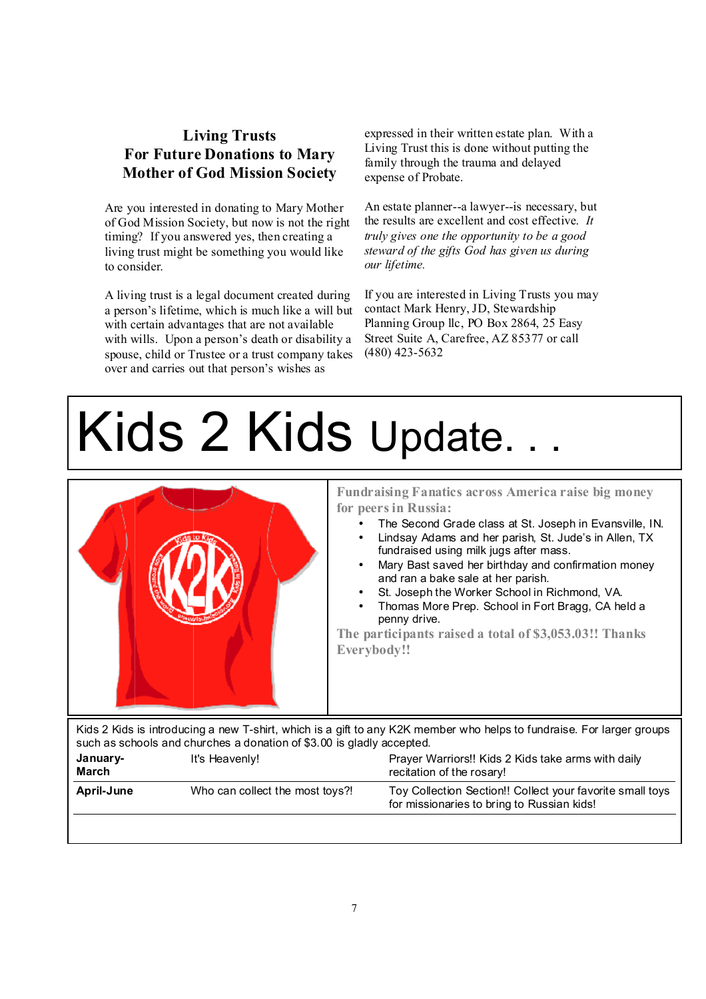# **Living Trusts For Future Donations to Mary Mother of God Mission Society**

Are you interested in donating to Mary Mother of God Mission Society, but now is not the right timing? If you answered yes, then creating a living trust might be something you would like to consider.

A living trust is a legal document created during a person's lifetime, which is much like a will but with certain advantages that are not available with wills. Upon a person's death or disability a spouse, child or Trustee or a trust company takes over and carries out that person's wishes as

expressed in their written estate plan. With a Living Trust this is done without putting the family through the trauma and delayed expense of Probate.

An estate planner--a lawyer--is necessary, but the results are excellent and cost effective. *It truly gives one the opportunity to be a good steward of the gifts God has given us during our lifetime.*

If you are interested in Living Trusts you may contact Mark Henry, JD, Stewardship Planning Group llc, PO Box 2864, 25 Easy Street Suite A, Carefree, AZ 85377 or call (480) 423-5632

# Kids 2 Kids Update.